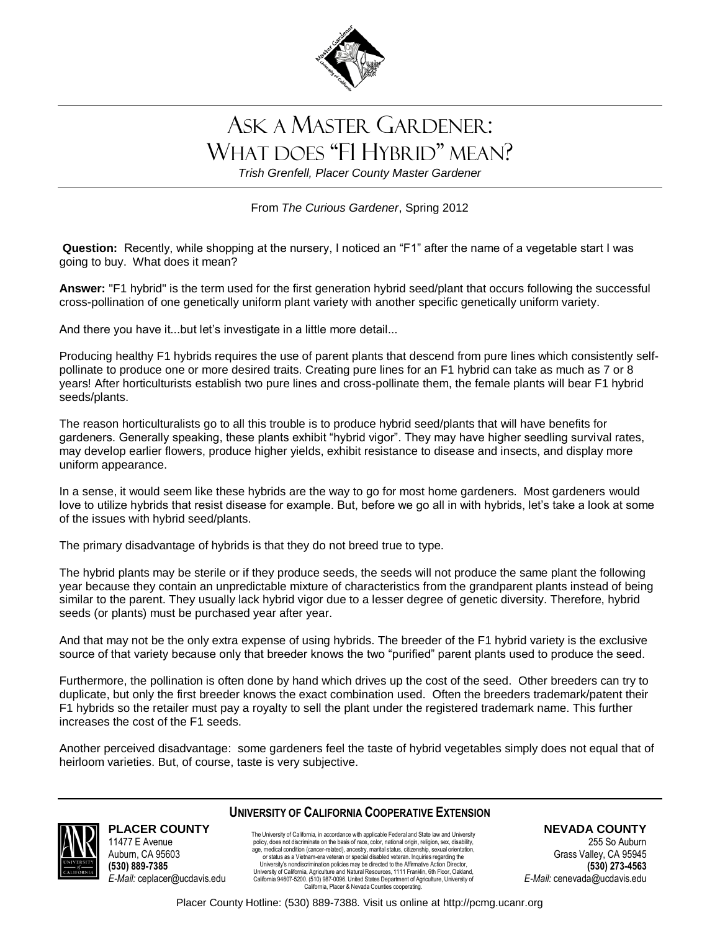

## ASK A MASTER GARDENER: WHAT DOES "F1 HYBRID" MEAN?

*Trish Grenfell, Placer County Master Gardener*

From *The Curious Gardener*, Spring 2012

**Question:** Recently, while shopping at the nursery, I noticed an "F1" after the name of a vegetable start I was going to buy. What does it mean?

**Answer:** "F1 hybrid" is the term used for the first generation hybrid seed/plant that occurs following the successful cross-pollination of one genetically uniform plant variety with another specific genetically uniform variety.

And there you have it...but let's investigate in a little more detail...

Producing healthy F1 hybrids requires the use of parent plants that descend from pure lines which consistently selfpollinate to produce one or more desired traits. Creating pure lines for an F1 hybrid can take as much as 7 or 8 years! After horticulturists establish two pure lines and cross-pollinate them, the female plants will bear F1 hybrid seeds/plants.

The reason horticulturalists go to all this trouble is to produce hybrid seed/plants that will have benefits for gardeners. Generally speaking, these plants exhibit "hybrid vigor". They may have higher seedling survival rates, may develop earlier flowers, produce higher yields, exhibit resistance to disease and insects, and display more uniform appearance.

In a sense, it would seem like these hybrids are the way to go for most home gardeners. Most gardeners would love to utilize hybrids that resist disease for example. But, before we go all in with hybrids, let's take a look at some of the issues with hybrid seed/plants.

The primary disadvantage of hybrids is that they do not breed true to type.

The hybrid plants may be sterile or if they produce seeds, the seeds will not produce the same plant the following year because they contain an unpredictable mixture of characteristics from the grandparent plants instead of being similar to the parent. They usually lack hybrid vigor due to a lesser degree of genetic diversity. Therefore, hybrid seeds (or plants) must be purchased year after year.

And that may not be the only extra expense of using hybrids. The breeder of the F1 hybrid variety is the exclusive source of that variety because only that breeder knows the two "purified" parent plants used to produce the seed.

Furthermore, the pollination is often done by hand which drives up the cost of the seed. Other breeders can try to duplicate, but only the first breeder knows the exact combination used. Often the breeders trademark/patent their F1 hybrids so the retailer must pay a royalty to sell the plant under the registered trademark name. This further increases the cost of the F1 seeds.

Another perceived disadvantage: some gardeners feel the taste of hybrid vegetables simply does not equal that of heirloom varieties. But, of course, taste is very subjective.



**PLACER COUNTY** 11477 E Avenue

Auburn, CA 95603 **(530) 889-7385** *E-Mail:* ceplacer@ucdavis.edu

## **UNIVERSITY OF CALIFORNIA COOPERATIVE EXTENSION**

The University of California, in accordance with applicable Federal and State law and University policy, does not discriminate on the basis of race, color, national origin, religion, sex, disability, age, medical condition (cancer-related), ancestry, marital status, citizenship, sexual orientation, or status as a Vietnam-era veteran or special disabled veteran. Inquiries regarding the University's nondiscrimination policies may be directed to the Affirmative Action Director,<br>University of California, Agriculture and Natural Resources, 1111 Franklin, 6th Fhoor, Oakland,<br>California 94607-5200. (510) 987-0 California, Placer & Nevada Counties cooperating.

**NEVADA COUNTY**

255 So Auburn Grass Valley, CA 95945 **(530) 273-4563** *E-Mail:* cenevada@ucdavis.edu

Placer County Hotline: (530) 889-7388. Visit us online at http://pcmg.ucanr.org